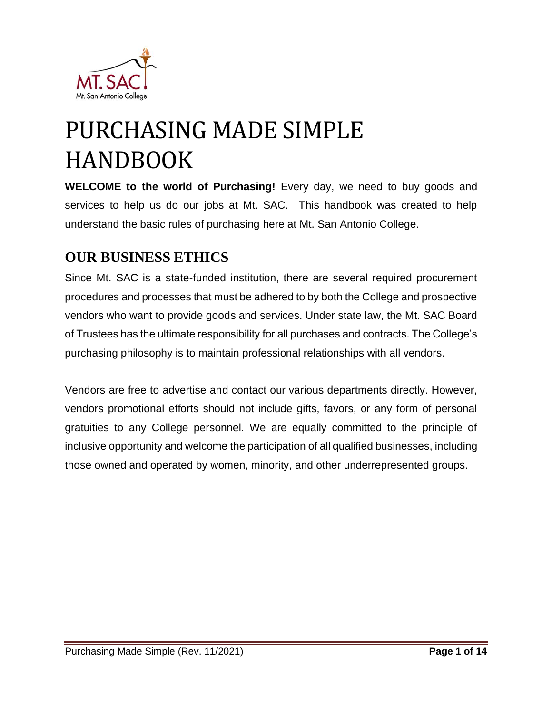

# PURCHASING MADE SIMPLE HANDBOOK

**WELCOME to the world of Purchasing!** Every day, we need to buy goods and services to help us do our jobs at Mt. SAC. This handbook was created to help understand the basic rules of purchasing here at Mt. San Antonio College.

## <span id="page-0-0"></span>**OUR BUSINESS ETHICS**

Since Mt. SAC is a state-funded institution, there are several required procurement procedures and processes that must be adhered to by both the College and prospective vendors who want to provide goods and services. Under state law, the Mt. SAC Board of Trustees has the ultimate responsibility for all purchases and contracts. The College's purchasing philosophy is to maintain professional relationships with all vendors.

Vendors are free to advertise and contact our various departments directly. However, vendors promotional efforts should not include gifts, favors, or any form of personal gratuities to any College personnel. We are equally committed to the principle of inclusive opportunity and welcome the participation of all qualified businesses, including those owned and operated by women, minority, and other underrepresented groups.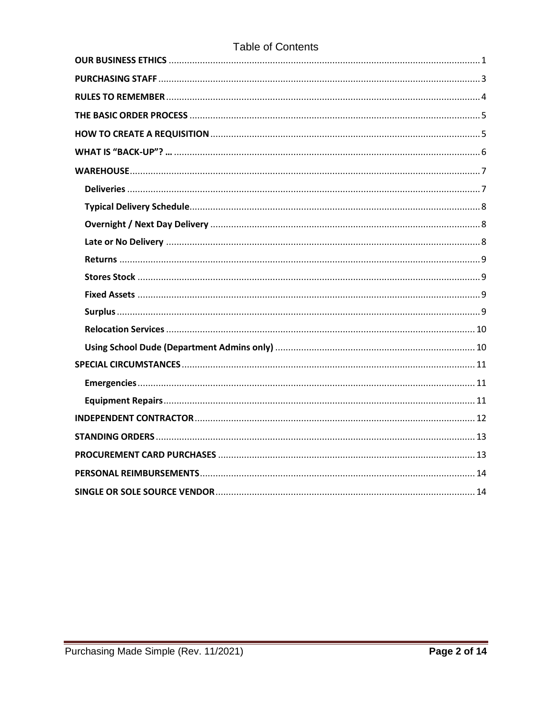### **Table of Contents**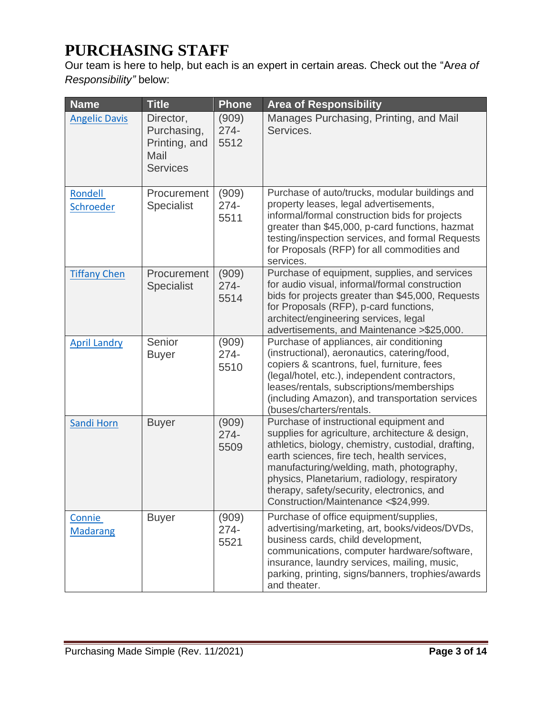## <span id="page-2-0"></span>**PURCHASING STAFF**

Our team is here to help, but each is an expert in certain areas. Check out the "A*rea of Responsibility"* below:

| <b>Name</b>               | <b>Title</b>                                                         | <b>Phone</b>             | <b>Area of Responsibility</b>                                                                                                                                                                                                                                                                                                                                                       |
|---------------------------|----------------------------------------------------------------------|--------------------------|-------------------------------------------------------------------------------------------------------------------------------------------------------------------------------------------------------------------------------------------------------------------------------------------------------------------------------------------------------------------------------------|
| <b>Angelic Davis</b>      | Director,<br>Purchasing,<br>Printing, and<br>Mail<br><b>Services</b> | (909)<br>$274 -$<br>5512 | Manages Purchasing, Printing, and Mail<br>Services.                                                                                                                                                                                                                                                                                                                                 |
| Rondell<br>Schroeder      | Procurement<br><b>Specialist</b>                                     | (909)<br>$274 -$<br>5511 | Purchase of auto/trucks, modular buildings and<br>property leases, legal advertisements,<br>informal/formal construction bids for projects<br>greater than \$45,000, p-card functions, hazmat<br>testing/inspection services, and formal Requests<br>for Proposals (RFP) for all commodities and<br>services.                                                                       |
| <b>Tiffany Chen</b>       | Procurement<br><b>Specialist</b>                                     | (909)<br>$274 -$<br>5514 | Purchase of equipment, supplies, and services<br>for audio visual, informal/formal construction<br>bids for projects greater than \$45,000, Requests<br>for Proposals (RFP), p-card functions,<br>architect/engineering services, legal<br>advertisements, and Maintenance > \$25,000.                                                                                              |
| <b>April Landry</b>       | Senior<br><b>Buyer</b>                                               | (909)<br>$274 -$<br>5510 | Purchase of appliances, air conditioning<br>(instructional), aeronautics, catering/food,<br>copiers & scantrons, fuel, furniture, fees<br>(legal/hotel, etc.), independent contractors,<br>leases/rentals, subscriptions/memberships<br>(including Amazon), and transportation services<br>(buses/charters/rentals.                                                                 |
| Sandi Horn                | <b>Buyer</b>                                                         | (909)<br>$274 -$<br>5509 | Purchase of instructional equipment and<br>supplies for agriculture, architecture & design,<br>athletics, biology, chemistry, custodial, drafting,<br>earth sciences, fire tech, health services,<br>manufacturing/welding, math, photography,<br>physics, Planetarium, radiology, respiratory<br>therapy, safety/security, electronics, and<br>Construction/Maintenance <\$24,999. |
| Connie<br><b>Madarang</b> | <b>Buyer</b>                                                         | (909)<br>$274 -$<br>5521 | Purchase of office equipment/supplies,<br>advertising/marketing, art, books/videos/DVDs,<br>business cards, child development,<br>communications, computer hardware/software,<br>insurance, laundry services, mailing, music,<br>parking, printing, signs/banners, trophies/awards<br>and theater.                                                                                  |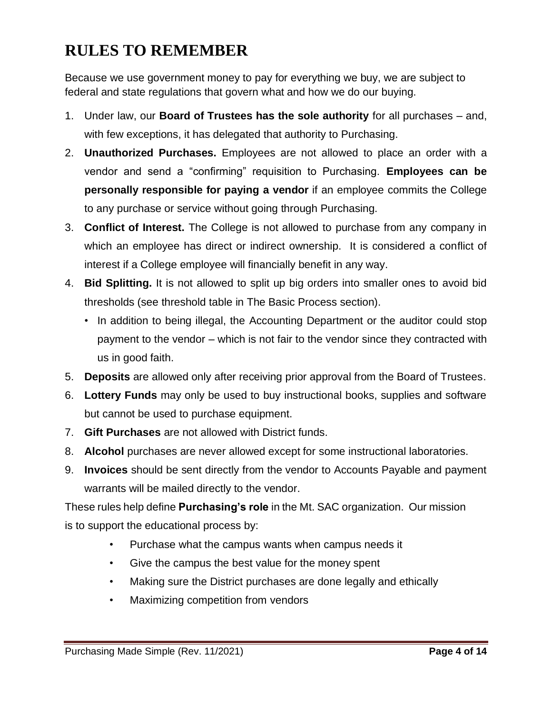## <span id="page-3-0"></span>**RULES TO REMEMBER**

Because we use government money to pay for everything we buy, we are subject to federal and state regulations that govern what and how we do our buying.

- 1. Under law, our **Board of Trustees has the sole authority** for all purchases and, with few exceptions, it has delegated that authority to Purchasing.
- 2. **Unauthorized Purchases.** Employees are not allowed to place an order with a vendor and send a "confirming" requisition to Purchasing. **Employees can be personally responsible for paying a vendor** if an employee commits the College to any purchase or service without going through Purchasing.
- 3. **Conflict of Interest.** The College is not allowed to purchase from any company in which an employee has direct or indirect ownership. It is considered a conflict of interest if a College employee will financially benefit in any way.
- 4. **Bid Splitting.** It is not allowed to split up big orders into smaller ones to avoid bid thresholds (see threshold table in The Basic Process section).
	- In addition to being illegal, the Accounting Department or the auditor could stop payment to the vendor – which is not fair to the vendor since they contracted with us in good faith.
- 5. **Deposits** are allowed only after receiving prior approval from the Board of Trustees.
- 6. **Lottery Funds** may only be used to buy instructional books, supplies and software but cannot be used to purchase equipment.
- 7. **Gift Purchases** are not allowed with District funds.
- 8. **Alcohol** purchases are never allowed except for some instructional laboratories.
- 9. **Invoices** should be sent directly from the vendor to Accounts Payable and payment warrants will be mailed directly to the vendor.

These rules help define **Purchasing's role** in the Mt. SAC organization. Our mission is to support the educational process by:

- Purchase what the campus wants when campus needs it
- Give the campus the best value for the money spent
- Making sure the District purchases are done legally and ethically
- Maximizing competition from vendors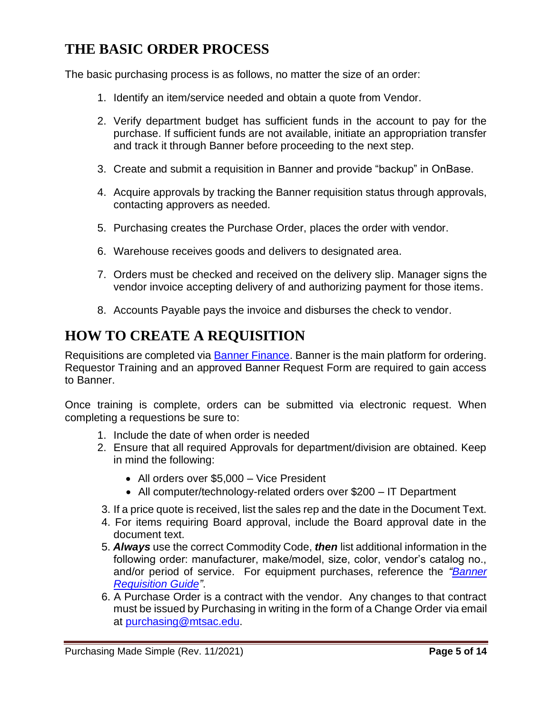## <span id="page-4-0"></span>**THE BASIC ORDER PROCESS**

The basic purchasing process is as follows, no matter the size of an order:

- 1. Identify an item/service needed and obtain a quote from Vendor.
- 2. Verify department budget has sufficient funds in the account to pay for the purchase. If sufficient funds are not available, initiate an appropriation transfer and track it through Banner before proceeding to the next step.
- 3. Create and submit a requisition in Banner and provide "backup" in OnBase.
- 4. Acquire approvals by tracking the Banner requisition status through approvals, contacting approvers as needed.
- 5. Purchasing creates the Purchase Order, places the order with vendor.
- 6. Warehouse receives goods and delivers to designated area.
- 7. Orders must be checked and received on the delivery slip. Manager signs the vendor invoice accepting delivery of and authorizing payment for those items.
- 8. Accounts Payable pays the invoice and disburses the check to vendor.

## <span id="page-4-1"></span>**HOW TO CREATE A REQUISITION**

Requisitions are completed via **Banner Finance**. Banner is the main platform for ordering. Requestor Training and an approved Banner Request Form are required to gain access to Banner.

Once training is complete, orders can be submitted via electronic request. When completing a requestions be sure to:

- 1. Include the date of when order is needed
- 2. Ensure that all required Approvals for department/division are obtained. Keep in mind the following:
	- All orders over \$5,000 Vice President
	- All computer/technology-related orders over \$200 IT Department
- 3. If a price quote is received, list the sales rep and the date in the Document Text.
- 4. For items requiring Board approval, include the Board approval date in the document text.
- 5. *Always* use the correct Commodity Code, *then* list additional information in the following order: manufacturer, make/model, size, color, vendor's catalog no., and/or period of service. For equipment purchases, reference the *["Banner](https://www.mtsac.edu/purchasing/pdfs/banner-requisition-guide-2021.pdf)  [Requisition Guide"](https://www.mtsac.edu/purchasing/pdfs/banner-requisition-guide-2021.pdf)*.
- 6. A Purchase Order is a contract with the vendor. Any changes to that contract must be issued by Purchasing in writing in the form of a Change Order via email at [purchasing@mtsac.edu.](mailto:purchasing@mtsac.edu)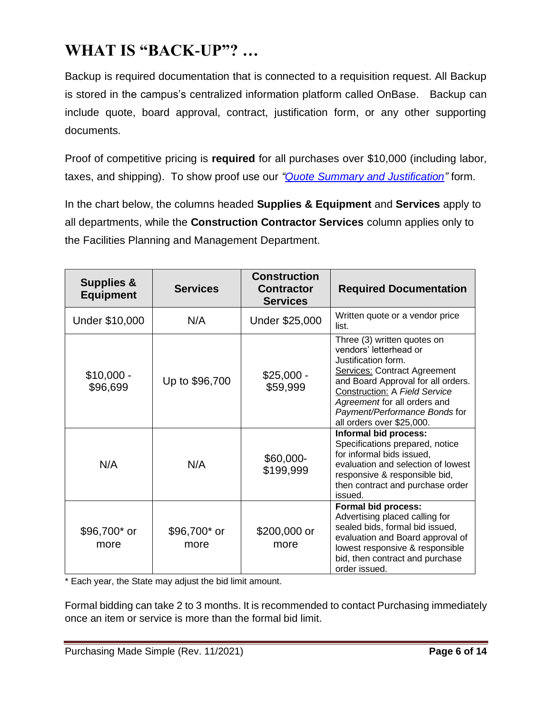## <span id="page-5-0"></span>**WHAT IS "BACK-UP"? …**

Backup is required documentation that is connected to a requisition request. All Backup is stored in the campus's centralized information platform called OnBase. Backup can include quote, board approval, contract, justification form, or any other supporting documents.

Proof of competitive pricing is **required** for all purchases over \$10,000 (including labor, taxes, and shipping). To show proof use our *"Quote [Summary and Justification"](https://www.mtsac.edu/purchasing/pdfs/quote-summary-justification-fillable-2022-01-05.pdf)* form.

In the chart below, the columns headed **Supplies & Equipment** and **Services** apply to all departments, while the **Construction Contractor Services** column applies only to the Facilities Planning and Management Department.

| <b>Supplies &amp;</b><br><b>Equipment</b> | <b>Services</b>      | <b>Construction</b><br><b>Contractor</b><br><b>Services</b> | <b>Required Documentation</b>                                                                                                                                                                                                                                                                   |
|-------------------------------------------|----------------------|-------------------------------------------------------------|-------------------------------------------------------------------------------------------------------------------------------------------------------------------------------------------------------------------------------------------------------------------------------------------------|
| Under \$10,000                            | N/A                  | Under \$25,000                                              | Written quote or a vendor price<br>list.                                                                                                                                                                                                                                                        |
| \$10,000 -<br>\$96,699                    | Up to \$96,700       | $$25,000 -$<br>\$59,999                                     | Three (3) written quotes on<br>vendors' letterhead or<br>Justification form.<br><b>Services: Contract Agreement</b><br>and Board Approval for all orders.<br><b>Construction: A Field Service</b><br>Agreement for all orders and<br>Payment/Performance Bonds for<br>all orders over \$25,000. |
| N/A                                       | N/A                  | \$60,000-<br>\$199,999                                      | <b>Informal bid process:</b><br>Specifications prepared, notice<br>for informal bids issued,<br>evaluation and selection of lowest<br>responsive & responsible bid,<br>then contract and purchase order<br>issued.                                                                              |
| \$96,700* or<br>more                      | \$96,700* or<br>more | \$200,000 or<br>more                                        | Formal bid process:<br>Advertising placed calling for<br>sealed bids, formal bid issued,<br>evaluation and Board approval of<br>lowest responsive & responsible<br>bid, then contract and purchase<br>order issued.                                                                             |

\* Each year, the State may adjust the bid limit amount.

Formal bidding can take 2 to 3 months. It is recommended to contact Purchasing immediately once an item or service is more than the formal bid limit.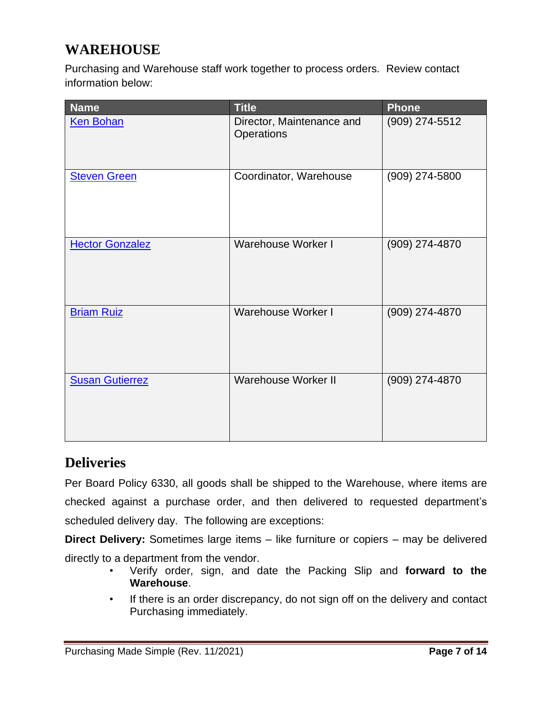## <span id="page-6-0"></span>**WAREHOUSE**

Purchasing and Warehouse staff work together to process orders. Review contact information below:

| <b>Name</b>            | <b>Title</b>                            | Phone          |
|------------------------|-----------------------------------------|----------------|
| <b>Ken Bohan</b>       | Director, Maintenance and<br>Operations | (909) 274-5512 |
| <b>Steven Green</b>    | Coordinator, Warehouse                  | (909) 274-5800 |
| <b>Hector Gonzalez</b> | <b>Warehouse Worker I</b>               | (909) 274-4870 |
| <b>Briam Ruiz</b>      | <b>Warehouse Worker I</b>               | (909) 274-4870 |
| <b>Susan Gutierrez</b> | <b>Warehouse Worker II</b>              | (909) 274-4870 |

## <span id="page-6-1"></span>**Deliveries**

Per Board Policy 6330, all goods shall be shipped to the Warehouse, where items are checked against a purchase order, and then delivered to requested department's scheduled delivery day. The following are exceptions:

**Direct Delivery:** Sometimes large items – like furniture or copiers – may be delivered directly to a department from the vendor.

- Verify order, sign, and date the Packing Slip and **forward to the Warehouse**.
- If there is an order discrepancy, do not sign off on the delivery and contact Purchasing immediately.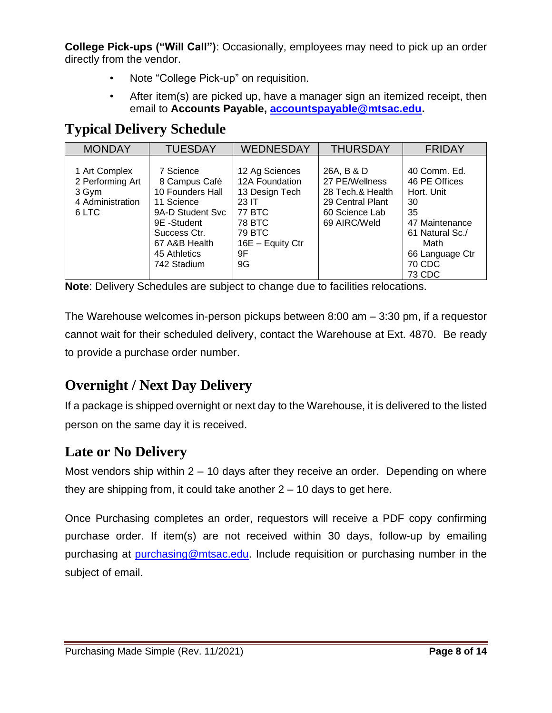**College Pick-ups ("Will Call")**: Occasionally, employees may need to pick up an order directly from the vendor.

- Note "College Pick-up" on requisition.
- After item(s) are picked up, have a manager sign an itemized receipt, then email to **Accounts Payable, [accountspayable@mtsac.edu.](mailto:accountspayable@mtsac.edu)**

## <span id="page-7-0"></span>**Typical Delivery Schedule**

| <b>MONDAY</b>                                                           | <b>TUESDAY</b>                                                                                                                                                  | <b>WEDNESDAY</b>                                                                                                                        | <b>THURSDAY</b>                                                                                        | <b>FRIDAY</b>                                                                                                                               |
|-------------------------------------------------------------------------|-----------------------------------------------------------------------------------------------------------------------------------------------------------------|-----------------------------------------------------------------------------------------------------------------------------------------|--------------------------------------------------------------------------------------------------------|---------------------------------------------------------------------------------------------------------------------------------------------|
| 1 Art Complex<br>2 Performing Art<br>3 Gym<br>4 Administration<br>6 LTC | 7 Science<br>8 Campus Café<br>10 Founders Hall<br>11 Science<br>9A-D Student Svc<br>9E -Student<br>Success Ctr.<br>67 A&B Health<br>45 Athletics<br>742 Stadium | 12 Ag Sciences<br>12A Foundation<br>13 Design Tech<br>23 IT<br><b>77 BTC</b><br>78 BTC<br><b>79 BTC</b><br>16E - Equity Ctr<br>9F<br>9G | 26A, B & D<br>27 PE/Wellness<br>28 Tech.& Health<br>29 Central Plant<br>60 Science Lab<br>69 AIRC/Weld | 40 Comm. Ed.<br>46 PE Offices<br>Hort. Unit<br>30<br>35<br>47 Maintenance<br>61 Natural Sc./<br>Math<br>66 Language Ctr<br>70 CDC<br>73 CDC |

**Note**: Delivery Schedules are subject to change due to facilities relocations.

The Warehouse welcomes in-person pickups between 8:00 am – 3:30 pm, if a requestor cannot wait for their scheduled delivery, contact the Warehouse at Ext. 4870. Be ready to provide a purchase order number.

## <span id="page-7-1"></span>**Overnight / Next Day Delivery**

If a package is shipped overnight or next day to the Warehouse, it is delivered to the listed person on the same day it is received.

## <span id="page-7-2"></span>**Late or No Delivery**

Most vendors ship within  $2 - 10$  days after they receive an order. Depending on where they are shipping from, it could take another  $2 - 10$  days to get here.

Once Purchasing completes an order, requestors will receive a PDF copy confirming purchase order. If item(s) are not received within 30 days, follow-up by emailing purchasing at [purchasing@mtsac.edu.](mailto:purchasing@mtsac.edu) Include requisition or purchasing number in the subject of email.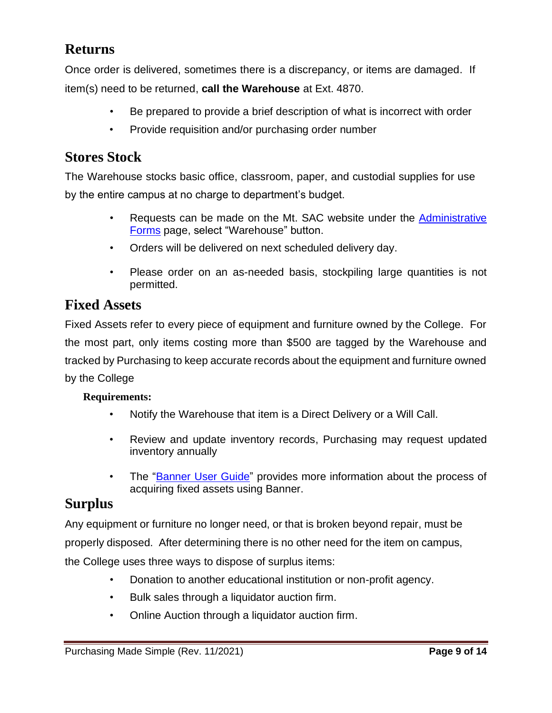## <span id="page-8-0"></span>**Returns**

Once order is delivered, sometimes there is a discrepancy, or items are damaged. If item(s) need to be returned, **call the Warehouse** at Ext. 4870.

- Be prepared to provide a brief description of what is incorrect with order
- Provide requisition and/or purchasing order number

## <span id="page-8-1"></span>**Stores Stock**

The Warehouse stocks basic office, classroom, paper, and custodial supplies for use by the entire campus at no charge to department's budget.

- Requests can be made on the Mt. SAC website under the Administrative [Forms](https://www.mtsac.edu/employees/forms/) page, select "Warehouse" button.
- Orders will be delivered on next scheduled delivery day.
- Please order on an as-needed basis, stockpiling large quantities is not permitted.

### <span id="page-8-2"></span>**Fixed Assets**

Fixed Assets refer to every piece of equipment and furniture owned by the College. For the most part, only items costing more than \$500 are tagged by the Warehouse and tracked by Purchasing to keep accurate records about the equipment and furniture owned by the College

#### **Requirements:**

- Notify the Warehouse that item is a Direct Delivery or a Will Call.
- Review and update inventory records, Purchasing may request updated inventory annually
- The ["Banner User Guide"](https://www.mtsac.edu/purchasing/pdfs/banner-requisition-guide-2021.pdf) provides more information about the process of acquiring fixed assets using Banner.

## <span id="page-8-3"></span>**Surplus**

Any equipment or furniture no longer need, or that is broken beyond repair, must be properly disposed. After determining there is no other need for the item on campus, the College uses three ways to dispose of surplus items:

- Donation to another educational institution or non-profit agency.
- Bulk sales through a liquidator auction firm.
- Online Auction through a liquidator auction firm.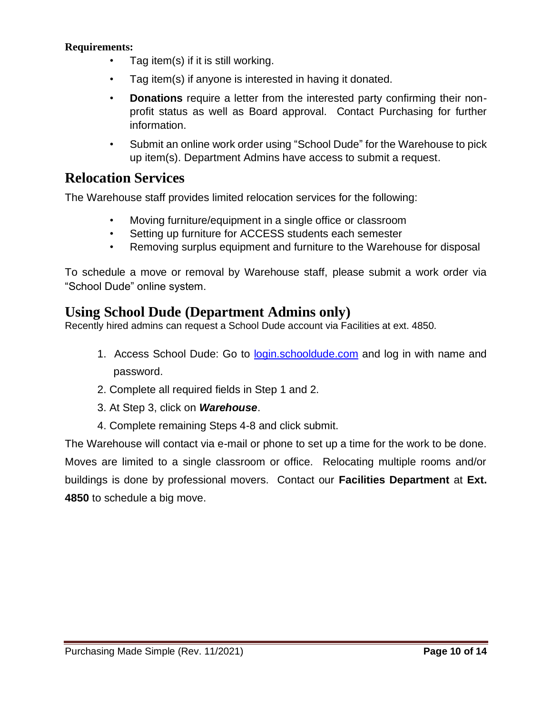#### **Requirements:**

- Tag item(s) if it is still working.
- Tag item(s) if anyone is interested in having it donated.
- **Donations** require a letter from the interested party confirming their nonprofit status as well as Board approval. Contact Purchasing for further information.
- Submit an online work order using "School Dude" for the Warehouse to pick up item(s). Department Admins have access to submit a request.

## <span id="page-9-0"></span>**Relocation Services**

The Warehouse staff provides limited relocation services for the following:

- Moving furniture/equipment in a single office or classroom
- Setting up furniture for ACCESS students each semester
- Removing surplus equipment and furniture to the Warehouse for disposal

To schedule a move or removal by Warehouse staff, please submit a work order via "School Dude" online system.

### <span id="page-9-1"></span>**Using School Dude (Department Admins only)**

Recently hired admins can request a School Dude account via Facilities at ext. 4850.

- 1. Access School Dude: Go to [login.schooldude.com](https://login.schooldude.com/) and log in with name and password.
- 2. Complete all required fields in Step 1 and 2.
- 3. At Step 3, click on *Warehouse*.
- 4. Complete remaining Steps 4-8 and click submit.

The Warehouse will contact via e-mail or phone to set up a time for the work to be done. Moves are limited to a single classroom or office. Relocating multiple rooms and/or buildings is done by professional movers. Contact our **Facilities Department** at **Ext. 4850** to schedule a big move.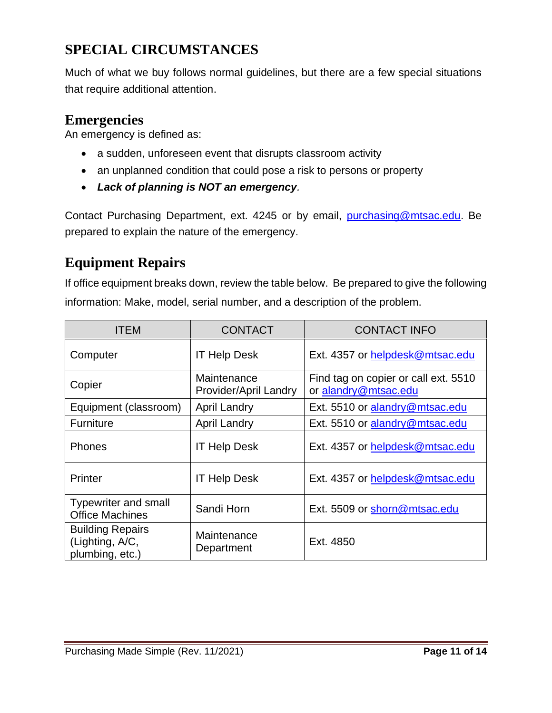## <span id="page-10-0"></span>**SPECIAL CIRCUMSTANCES**

Much of what we buy follows normal guidelines, but there are a few special situations that require additional attention.

## <span id="page-10-1"></span>**Emergencies**

An emergency is defined as:

- a sudden, unforeseen event that disrupts classroom activity
- an unplanned condition that could pose a risk to persons or property
- *Lack of planning is NOT an emergency.*

Contact Purchasing Department, ext. 4245 or by email, [purchasing@mtsac.edu.](mailto:purchasing@mtsac.edu) Be prepared to explain the nature of the emergency.

## <span id="page-10-2"></span>**Equipment Repairs**

If office equipment breaks down, review the table below. Be prepared to give the following information: Make, model, serial number, and a description of the problem.

| <b>ITEM</b>                                                   | <b>CONTACT</b>                       | <b>CONTACT INFO</b>                                          |
|---------------------------------------------------------------|--------------------------------------|--------------------------------------------------------------|
| Computer                                                      | <b>IT Help Desk</b>                  | Ext. 4357 or helpdesk@mtsac.edu                              |
| Copier                                                        | Maintenance<br>Provider/April Landry | Find tag on copier or call ext. 5510<br>or alandry@mtsac.edu |
| Equipment (classroom)                                         | <b>April Landry</b>                  | Ext. 5510 or alandry@mtsac.edu                               |
| Furniture                                                     | <b>April Landry</b>                  | Ext. 5510 or alandry@mtsac.edu                               |
| <b>Phones</b>                                                 | <b>IT Help Desk</b>                  | Ext. 4357 or helpdesk@mtsac.edu                              |
| Printer                                                       | <b>IT Help Desk</b>                  | Ext. 4357 or helpdesk@mtsac.edu                              |
| <b>Typewriter and small</b><br><b>Office Machines</b>         | Sandi Horn                           | Ext. 5509 or shorn@mtsac.edu                                 |
| <b>Building Repairs</b><br>(Lighting, A/C,<br>plumbing, etc.) | Maintenance<br>Department            | Ext. 4850                                                    |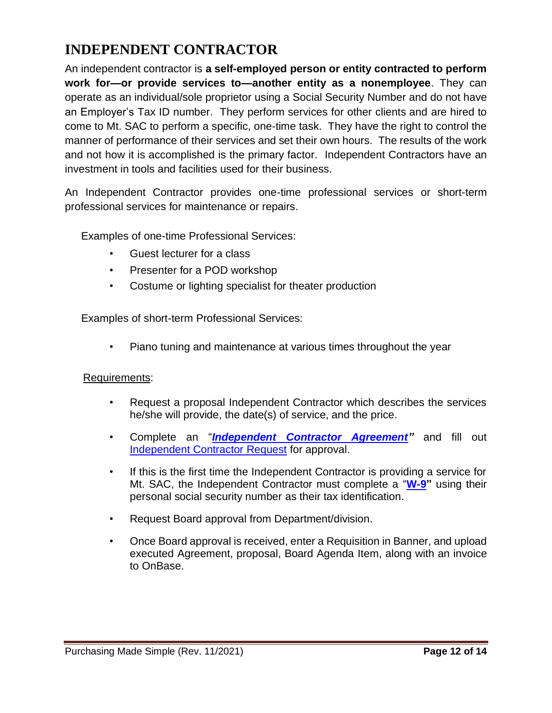## <span id="page-11-0"></span>**INDEPENDENT CONTRACTOR**

An independent contractor is **a self-employed person or entity contracted to perform work for—or provide services to—another entity as a nonemployee**. They can operate as an individual/sole proprietor using a Social Security Number and do not have an Employer's Tax ID number. They perform services for other clients and are hired to come to Mt. SAC to perform a specific, one-time task. They have the right to control the manner of performance of their services and set their own hours. The results of the work and not how it is accomplished is the primary factor. Independent Contractors have an investment in tools and facilities used for their business.

An Independent Contractor provides one-time professional services or short-term professional services for maintenance or repairs.

Examples of one-time Professional Services:

- Guest lecturer for a class
- Presenter for a POD workshop
- Costume or lighting specialist for theater production

Examples of short-term Professional Services:

• Piano tuning and maintenance at various times throughout the year

#### Requirements:

- Request a proposal Independent Contractor which describes the services he/she will provide, the date(s) of service, and the price.
- Complete an "*[Independent Contractor Agreement"](https://www.mtsac.edu/purchasing/pdfs/independent-contractor-agreement-2022.pdf)* and fill out [Independent Contractor Request](https://app.smartsheet.com/b/form/4797d23896f046ccaae8fb0e4ff1ee90) for approval.
- If this is the first time the Independent Contractor is providing a service for Mt. SAC, the Independent Contractor must complete a "**[W-9"](https://www.mtsac.edu/purchasing/2020_vendor_packet.pdf)** using their personal social security number as their tax identification.
- Request Board approval from Department/division.
- Once Board approval is received, enter a Requisition in Banner, and upload executed Agreement, proposal, Board Agenda Item, along with an invoice to OnBase.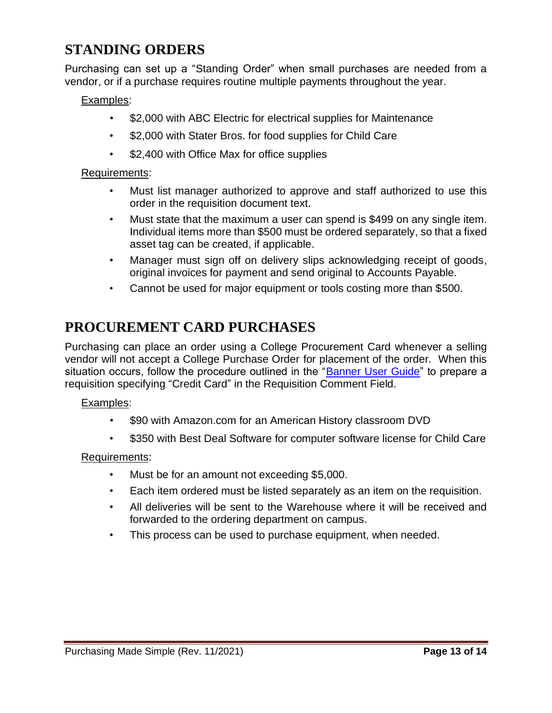## <span id="page-12-0"></span>**STANDING ORDERS**

Purchasing can set up a "Standing Order" when small purchases are needed from a vendor, or if a purchase requires routine multiple payments throughout the year.

#### Examples:

- \$2,000 with ABC Electric for electrical supplies for Maintenance
- \$2,000 with Stater Bros. for food supplies for Child Care
- \$2,400 with Office Max for office supplies

#### Requirements:

- Must list manager authorized to approve and staff authorized to use this order in the requisition document text.
- Must state that the maximum a user can spend is \$499 on any single item. Individual items more than \$500 must be ordered separately, so that a fixed asset tag can be created, if applicable.
- Manager must sign off on delivery slips acknowledging receipt of goods, original invoices for payment and send original to Accounts Payable.
- Cannot be used for major equipment or tools costing more than \$500.

## <span id="page-12-1"></span>**PROCUREMENT CARD PURCHASES**

Purchasing can place an order using a College Procurement Card whenever a selling vendor will not accept a College Purchase Order for placement of the order. When this situation occurs, follow the procedure outlined in the ["Banner User Guide"](https://www.mtsac.edu/purchasing/pdfs/banner-requisition-guide-2021.pdf) to prepare a requisition specifying "Credit Card" in the Requisition Comment Field.

#### Examples:

- \$90 with Amazon.com for an American History classroom DVD
- \$350 with Best Deal Software for computer software license for Child Care

#### Requirements:

- Must be for an amount not exceeding \$5,000.
- Each item ordered must be listed separately as an item on the requisition.
- All deliveries will be sent to the Warehouse where it will be received and forwarded to the ordering department on campus.
- This process can be used to purchase equipment, when needed.